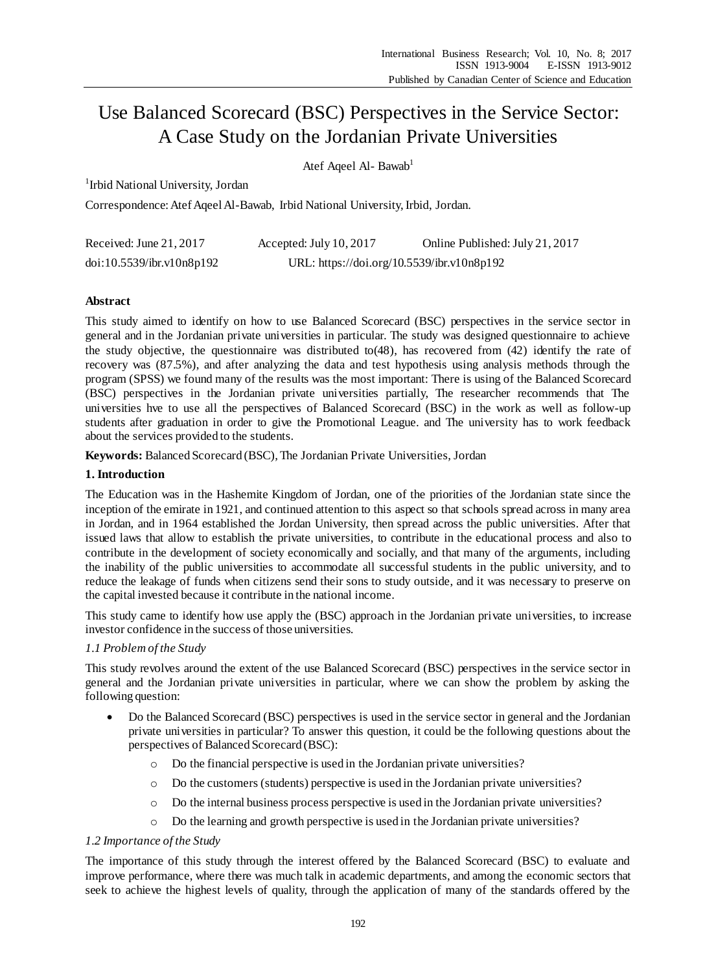# Use Balanced Scorecard (BSC) Perspectives in the Service Sector: A Case Study on the Jordanian Private Universities

Atef Aqeel Al- Bawab<sup>1</sup>

<sup>1</sup> Irbid National University, Jordan

Correspondence: Atef Aqeel Al-Bawab, Irbid National University, Irbid, Jordan.

| Received: June 21, 2017   | Accepted: July 10, 2017                    | Online Published: July 21, 2017 |
|---------------------------|--------------------------------------------|---------------------------------|
| doi:10.5539/ibr.v10n8p192 | URL: https://doi.org/10.5539/ibr.v10n8p192 |                                 |

# **Abstract**

This study aimed to identify on how to use Balanced Scorecard (BSC) perspectives in the service sector in general and in the Jordanian private universities in particular. The study was designed questionnaire to achieve the study objective, the questionnaire was distributed to(48), has recovered from (42) identify the rate of recovery was (87.5%), and after analyzing the data and test hypothesis using analysis methods through the program (SPSS) we found many of the results was the most important: There is using of the Balanced Scorecard (BSC) perspectives in the Jordanian private universities partially, The researcher recommends that The universities hve to use all the perspectives of Balanced Scorecard (BSC) in the work as well as follow-up students after graduation in order to give the Promotional League. and The university has to work feedback about the services provided to the students.

**Keywords:** Balanced Scorecard (BSC), The Jordanian Private Universities, Jordan

# **1. Introduction**

The Education was in the Hashemite Kingdom of Jordan, one of the priorities of the Jordanian state since the inception of the emirate in 1921, and continued attention to this aspect so that schools spread across in many area in Jordan, and in 1964 established the Jordan University, then spread across the public universities. After that issued laws that allow to establish the private universities, to contribute in the educational process and also to contribute in the development of society economically and socially, and that many of the arguments, including the inability of the public universities to accommodate all successful students in the public university, and to reduce the leakage of funds when citizens send their sons to study outside, and it was necessary to preserve on the capital invested because it contribute in the national income.

This study came to identify how use apply the (BSC) approach in the Jordanian private universities, to increase investor confidence in the success of those universities.

## *1.1 Problem of the Study*

This study revolves around the extent of the use Balanced Scorecard (BSC) perspectives in the service sector in general and the Jordanian private universities in particular, where we can show the problem by asking the following question:

- Do the Balanced Scorecard (BSC) perspectives is used in the service sector in general and the Jordanian private universities in particular? To answer this question, it could be the following questions about the perspectives of Balanced Scorecard (BSC):
	- o Do the financial perspective is used in the Jordanian private universities?
	- o Do the customers (students) perspective is used in the Jordanian private universities?
	- o Do the internal business process perspective is used in the Jordanian private universities?
	- o Do the learning and growth perspective is used in the Jordanian private universities?

## *1.2 Importance of the Study*

The importance of this study through the interest offered by the Balanced Scorecard (BSC) to evaluate and improve performance, where there was much talk in academic departments, and among the economic sectors that seek to achieve the highest levels of quality, through the application of many of the standards offered by the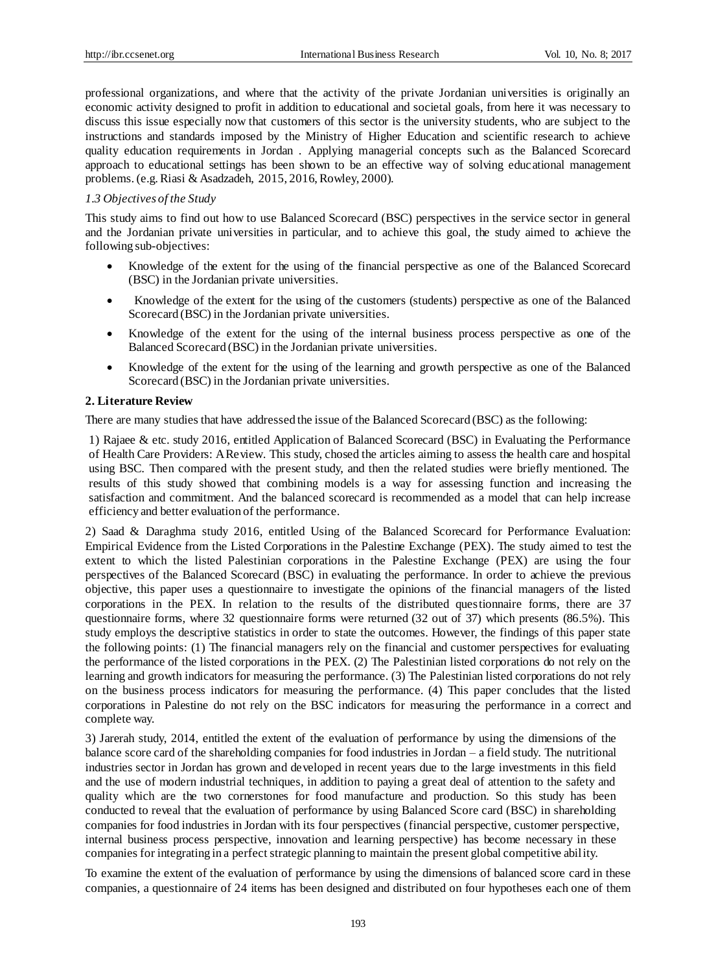professional organizations, and where that the activity of the private Jordanian universities is originally an economic activity designed to profit in addition to educational and societal goals, from here it was necessary to discuss this issue especially now that customers of this sector is the university students, who are subject to the instructions and standards imposed by the Ministry of Higher Education and scientific research to achieve quality education requirements in Jordan . Applying managerial concepts such as the Balanced Scorecard approach to educational settings has been shown to be an effective way of solving educational management problems. (e.g. Riasi & Asadzadeh, 2015, 2016, Rowley, 2000).

#### *1.3 Objectives of the Study*

This study aims to find out how to use Balanced Scorecard (BSC) perspectives in the service sector in general and the Jordanian private universities in particular, and to achieve this goal, the study aimed to achieve the following sub-objectives:

- Knowledge of the extent for the using of the financial perspective as one of the Balanced Scorecard (BSC) in the Jordanian private universities.
- Knowledge of the extent for the using of the customers (students) perspective as one of the Balanced Scorecard (BSC) in the Jordanian private universities.
- Knowledge of the extent for the using of the internal business process perspective as one of the Balanced Scorecard (BSC) in the Jordanian private universities.
- Knowledge of the extent for the using of the learning and growth perspective as one of the Balanced Scorecard (BSC) in the Jordanian private universities.

#### **2. Literature Review**

There are many studies that have addressed the issue of the Balanced Scorecard (BSC) as the following:

1) Rajaee & etc. study 2016, entitled Application of Balanced Scorecard (BSC) in Evaluating the Performance of Health Care Providers: A Review. This study, chosed the articles aiming to assess the health care and hospital using BSC. Then compared with the present study, and then the related studies were briefly mentioned. The results of this study showed that combining models is a way for assessing function and increasing the satisfaction and commitment. And the balanced scorecard is recommended as a model that can help increase efficiency and better evaluation of the performance.

2) Saad & Daraghma study 2016, entitled Using of the Balanced Scorecard for Performance Evaluation: Empirical Evidence from the Listed Corporations in the Palestine Exchange (PEX). The study aimed to test the extent to which the listed Palestinian corporations in the Palestine Exchange (PEX) are using the four perspectives of the Balanced Scorecard (BSC) in evaluating the performance. In order to achieve the previous objective, this paper uses a questionnaire to investigate the opinions of the financial managers of the listed corporations in the PEX. In relation to the results of the distributed questionnaire forms, there are 37 questionnaire forms, where 32 questionnaire forms were returned (32 out of 37) which presents (86.5%). This study employs the descriptive statistics in order to state the outcomes. However, the findings of this paper state the following points: (1) The financial managers rely on the financial and customer perspectives for evaluating the performance of the listed corporations in the PEX. (2) The Palestinian listed corporations do not rely on the learning and growth indicators for measuring the performance. (3) The Palestinian listed corporations do not rely on the business process indicators for measuring the performance. (4) This paper concludes that the listed corporations in Palestine do not rely on the BSC indicators for measuring the performance in a correct and complete way.

3) Jarerah study, 2014, entitled the extent of the evaluation of performance by using the dimensions of the balance score card of the shareholding companies for food industries in Jordan – a field study. The nutritional industries sector in Jordan has grown and developed in recent years due to the large investments in this field and the use of modern industrial techniques, in addition to paying a great deal of attention to the safety and quality which are the two cornerstones for food manufacture and production. So this study has been conducted to reveal that the evaluation of performance by using Balanced Score card (BSC) in shareholding companies for food industries in Jordan with its four perspectives (financial perspective, customer perspective, internal business process perspective, innovation and learning perspective) has become necessary in these companies for integrating in a perfect strategic planning to maintain the present global competitive ability.

To examine the extent of the evaluation of performance by using the dimensions of balanced score card in these companies, a questionnaire of 24 items has been designed and distributed on four hypotheses each one of them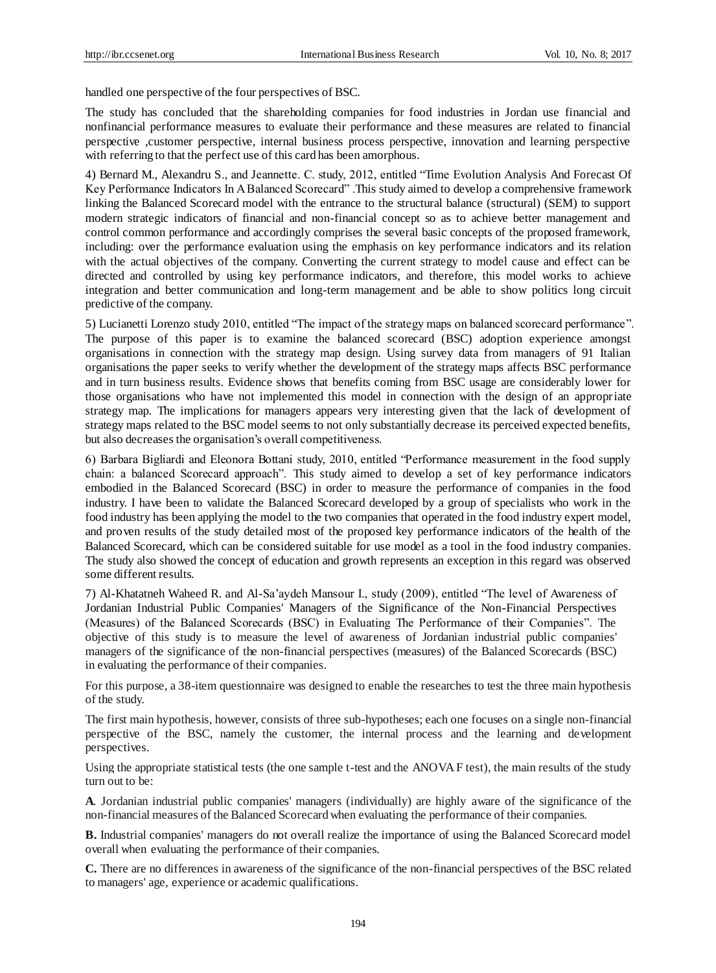handled one perspective of the four perspectives of BSC.

The study has concluded that the shareholding companies for food industries in Jordan use financial and nonfinancial performance measures to evaluate their performance and these measures are related to financial perspective ,customer perspective, internal business process perspective, innovation and learning perspective with referring to that the perfect use of this card has been amorphous.

4) Bernard M., Alexandru S., and Jeannette. C. study, 2012, entitled "Time Evolution Analysis And Forecast Of Key Performance Indicators In A Balanced Scorecard" .This study aimed to develop a comprehensive framework linking the Balanced Scorecard model with the entrance to the structural balance (structural) (SEM) to support modern strategic indicators of financial and non-financial concept so as to achieve better management and control common performance and accordingly comprises the several basic concepts of the proposed framework, including: over the performance evaluation using the emphasis on key performance indicators and its relation with the actual objectives of the company. Converting the current strategy to model cause and effect can be directed and controlled by using key performance indicators, and therefore, this model works to achieve integration and better communication and long-term management and be able to show politics long circuit predictive of the company.

5) Lucianetti Lorenzo study 2010, entitled "The impact of the strategy maps on balanced scorecard performance". The purpose of this paper is to examine the balanced scorecard (BSC) adoption experience amongst organisations in connection with the strategy map design. Using survey data from managers of 91 Italian organisations the paper seeks to verify whether the development of the strategy maps affects BSC performance and in turn business results. Evidence shows that benefits coming from BSC usage are considerably lower for those organisations who have not implemented this model in connection with the design of an appropriate strategy map. The implications for managers appears very interesting given that the lack of development of strategy maps related to the BSC model seems to not only substantially decrease its perceived expected benefits, but also decreases the organisation's overall competitiveness.

6) Barbara Bigliardi and Eleonora Bottani study, 2010, entitled "Performance measurement in the food supply chain: a balanced Scorecard approach". This study aimed to develop a set of key performance indicators embodied in the Balanced Scorecard (BSC) in order to measure the performance of companies in the food industry. I have been to validate the Balanced Scorecard developed by a group of specialists who work in the food industry has been applying the model to the two companies that operated in the food industry expert model, and proven results of the study detailed most of the proposed key performance indicators of the health of the Balanced Scorecard, which can be considered suitable for use model as a tool in the food industry companies. The study also showed the concept of education and growth represents an exception in this regard was observed some different results.

7) Al-Khatatneh Waheed R. and Al-Sa'aydeh Mansour I., study (2009), entitled "The level of Awareness of Jordanian Industrial Public Companies' Managers of the Significance of the Non-Financial Perspectives (Measures) of the Balanced Scorecards (BSC) in Evaluating The Performance of their Companies". The objective of this study is to measure the level of awareness of Jordanian industrial public companies' managers of the significance of the non-financial perspectives (measures) of the Balanced Scorecards (BSC) in evaluating the performance of their companies.

For this purpose, a 38-item questionnaire was designed to enable the researches to test the three main hypothesis of the study.

The first main hypothesis, however, consists of three sub-hypotheses; each one focuses on a single non-financial perspective of the BSC, namely the customer, the internal process and the learning and development perspectives.

Using the appropriate statistical tests (the one sample t-test and the ANOVA F test), the main results of the study turn out to be:

**A**. Jordanian industrial public companies' managers (individually) are highly aware of the significance of the non-financial measures of the Balanced Scorecard when evaluating the performance of their companies.

**B.** Industrial companies' managers do not overall realize the importance of using the Balanced Scorecard model overall when evaluating the performance of their companies.

**C.** There are no differences in awareness of the significance of the non-financial perspectives of the BSC related to managers' age, experience or academic qualifications.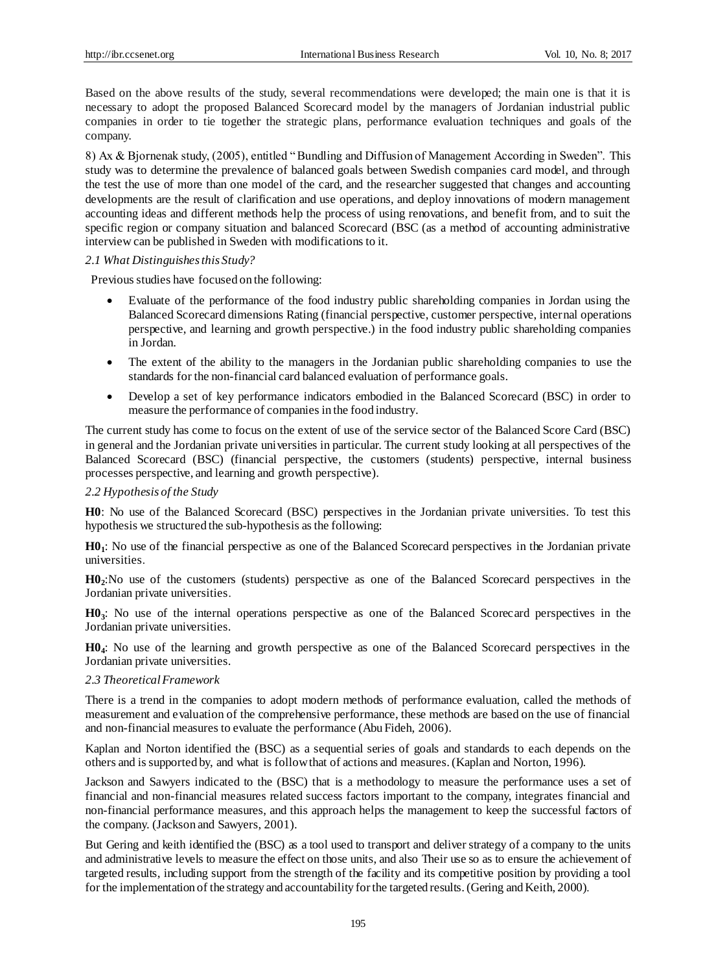Based on the above results of the study, several recommendations were developed; the main one is that it is necessary to adopt the proposed Balanced Scorecard model by the managers of Jordanian industrial public companies in order to tie together the strategic plans, performance evaluation techniques and goals of the company.

8) Ax & Bjornenak study, (2005), entitled " Bundling and Diffusion of Management According in Sweden". This study was to determine the prevalence of balanced goals between Swedish companies card model, and through the test the use of more than one model of the card, and the researcher suggested that changes and accounting developments are the result of clarification and use operations, and deploy innovations of modern management accounting ideas and different methods help the process of using renovations, and benefit from, and to suit the specific region or company situation and balanced Scorecard (BSC (as a method of accounting administrative interview can be published in Sweden with modifications to it.

## *2.1 What Distinguishes this Study?*

Previous studies have focused on the following:

- Evaluate of the performance of the food industry public shareholding companies in Jordan using the Balanced Scorecard dimensions Rating (financial perspective, customer perspective, internal operations perspective, and learning and growth perspective.) in the food industry public shareholding companies in Jordan.
- The extent of the ability to the managers in the Jordanian public shareholding companies to use the standards for the non-financial card balanced evaluation of performance goals.
- Develop a set of key performance indicators embodied in the Balanced Scorecard (BSC) in order to measure the performance of companies in the food industry.

The current study has come to focus on the extent of use of the service sector of the Balanced Score Card (BSC) in general and the Jordanian private universities in particular. The current study looking at all perspectives of the Balanced Scorecard (BSC) (financial perspective, the customers (students) perspective, internal business processes perspective, and learning and growth perspective).

## *2.2 Hypothesis of the Study*

**H0**: No use of the Balanced Scorecard (BSC) perspectives in the Jordanian private universities. To test this hypothesis we structured the sub-hypothesis as the following:

**H0<sup>1</sup>** : No use of the financial perspective as one of the Balanced Scorecard perspectives in the Jordanian private universities.

**H0<sup>2</sup>** :No use of the customers (students) perspective as one of the Balanced Scorecard perspectives in the Jordanian private universities.

**H0<sup>3</sup>** : No use of the internal operations perspective as one of the Balanced Scorecard perspectives in the Jordanian private universities.

**H0<sup>4</sup>** : No use of the learning and growth perspective as one of the Balanced Scorecard perspectives in the Jordanian private universities.

#### *2.3 Theoretical Framework*

There is a trend in the companies to adopt modern methods of performance evaluation, called the methods of measurement and evaluation of the comprehensive performance, these methods are based on the use of financial and non-financial measures to evaluate the performance (Abu Fideh, 2006).

Kaplan and Norton identified the (BSC) as a sequential series of goals and standards to each depends on the others and is supported by, and what is follow that of actions and measures. (Kaplan and Norton, 1996).

Jackson and Sawyers indicated to the (BSC) that is a methodology to measure the performance uses a set of financial and non-financial measures related success factors important to the company, integrates financial and non-financial performance measures, and this approach helps the management to keep the successful factors of the company. (Jackson and Sawyers, 2001).

But Gering and keith identified the (BSC) as a tool used to transport and deliver strategy of a company to the units and administrative levels to measure the effect on those units, and also Their use so as to ensure the achievement of targeted results, including support from the strength of the facility and its competitive position by providing a tool for the implementation of the strategy and accountability for the targeted results. (Gering and Keith, 2000).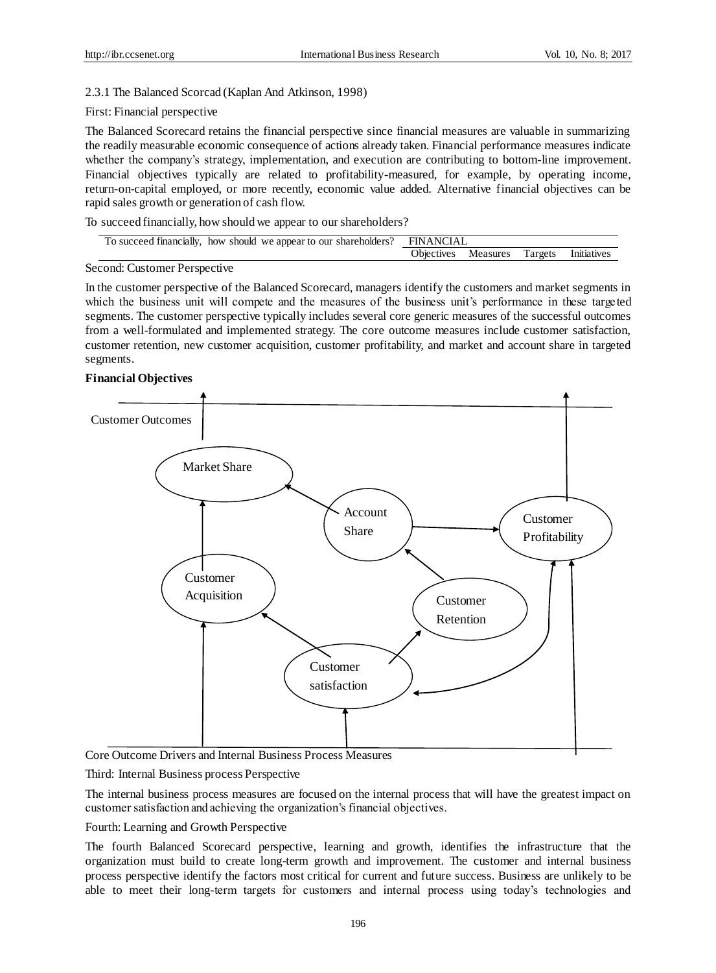# 2.3.1 The Balanced Scorcad (Kaplan And Atkinson, 1998)

## First: Financial perspective

The Balanced Scorecard retains the financial perspective since financial measures are valuable in summarizing the readily measurable economic consequence of actions already taken. Financial performance measures indicate whether the company's strategy, implementation, and execution are contributing to bottom-line improvement. Financial objectives typically are related to profitability-measured, for example, by operating income, return-on-capital employed, or more recently, economic value added. Alternative financial objectives can be rapid sales growth or generation of cash flow.

To succeed financially, how should we appear to our shareholders?

| To succeed financially, how should we appear to our shareholders? FINANCIAL |  |                                         |  |  |
|-----------------------------------------------------------------------------|--|-----------------------------------------|--|--|
|                                                                             |  | Objectives Measures Targets Initiatives |  |  |
| i san di Circle in su Dancos stiris                                         |  |                                         |  |  |

#### Second: Customer Perspective

In the customer perspective of the Balanced Scorecard, managers identify the customers and market segments in which the business unit will compete and the measures of the business unit's performance in these targeted segments. The customer perspective typically includes several core generic measures of the successful outcomes from a well-formulated and implemented strategy. The core outcome measures include customer satisfaction, customer retention, new customer acquisition, customer profitability, and market and account share in targeted segments.

#### **Financial Objectives**



Core Outcome Drivers and Internal Business Process Measures

Third: Internal Business process Perspective

The internal business process measures are focused on the internal process that will have the greatest impact on customer satisfaction and achieving the organization's financial objectives.

Fourth: Learning and Growth Perspective

The fourth Balanced Scorecard perspective, learning and growth, identifies the infrastructure that the organization must build to create long-term growth and improvement. The customer and internal business process perspective identify the factors most critical for current and future success. Business are unlikely to be able to meet their long-term targets for customers and internal process using today's technologies and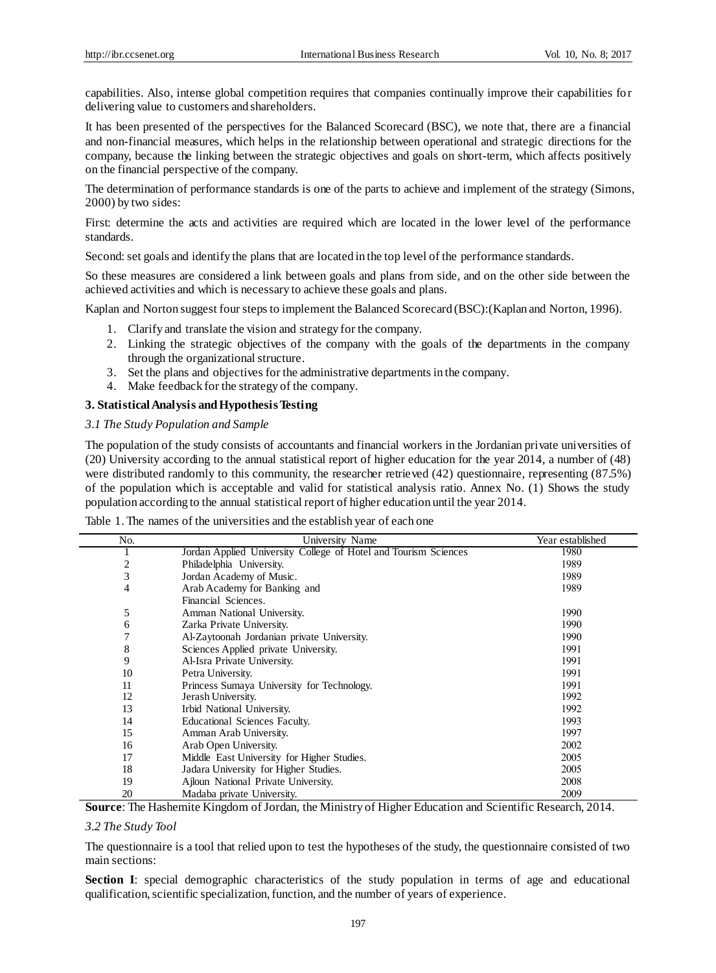capabilities. Also, intense global competition requires that companies continually improve their capabilities for delivering value to customers and shareholders.

It has been presented of the perspectives for the Balanced Scorecard (BSC), we note that, there are a financial and non-financial measures, which helps in the relationship between operational and strategic directions for the company, because the linking between the strategic objectives and goals on short-term, which affects positively on the financial perspective of the company.

The determination of performance standards is one of the parts to achieve and implement of the strategy (Simons, 2000) by two sides:

First: determine the acts and activities are required which are located in the lower level of the performance standards.

Second: set goals and identify the plans that are located in the top level of the performance standards.

So these measures are considered a link between goals and plans from side, and on the other side between the achieved activities and which is necessary to achieve these goals and plans.

Kaplan and Norton suggest four steps to implement the Balanced Scorecard (BSC):(Kaplan and Norton, 1996).

- 1. Clarify and translate the vision and strategy for the company.
- 2. Linking the strategic objectives of the company with the goals of the departments in the company through the organizational structure.
- 3. Set the plans and objectives for the administrative departments in the company.
- 4. Make feedback for the strategy of the company.

#### **3. Statistical Analysis and Hypothesis Testing**

## *3.1 The Study Population and Sample*

The population of the study consists of accountants and financial workers in the Jordanian private universities of (20) University according to the annual statistical report of higher education for the year 2014, a number of (48) were distributed randomly to this community, the researcher retrieved (42) questionnaire, representing (87.5%) of the population which is acceptable and valid for statistical analysis ratio. Annex No. (1) Shows the study population according to the annual statistical report of higher education until the year 2014.

| Table 1. The names of the universities and the establish year of each one |  |
|---------------------------------------------------------------------------|--|
|---------------------------------------------------------------------------|--|

| No. | University Name                                                 | Year established |
|-----|-----------------------------------------------------------------|------------------|
|     | Jordan Applied University College of Hotel and Tourism Sciences | 1980             |
| 2   | Philadelphia University.                                        | 1989             |
| 3   | Jordan Academy of Music.                                        | 1989             |
| 4   | Arab Academy for Banking and                                    | 1989             |
|     | Financial Sciences.                                             |                  |
| 5   | Amman National University.                                      | 1990             |
| 6   | Zarka Private University.                                       | 1990             |
|     | Al-Zaytoonah Jordanian private University.                      | 1990             |
| 8   | Sciences Applied private University.                            | 1991             |
| 9   | Al-Isra Private University.                                     | 1991             |
| 10  | Petra University.                                               | 1991             |
| 11  | Princess Sumaya University for Technology.                      | 1991             |
| 12  | Jerash University.                                              | 1992             |
| 13  | Irbid National University.                                      | 1992             |
| 14  | Educational Sciences Faculty.                                   | 1993             |
| 15  | Amman Arab University.                                          | 1997             |
| 16  | Arab Open University.                                           | 2002             |
| 17  | Middle East University for Higher Studies.                      | 2005             |
| 18  | Jadara University for Higher Studies.                           | 2005             |
| 19  | Ajloun National Private University.                             | 2008             |
| 20  | Madaba private University.                                      | 2009             |

**Source**: The Hashemite Kingdom of Jordan, the Ministry of Higher Education and Scientific Research, 2014.

*3.2 The Study Tool*

The questionnaire is a tool that relied upon to test the hypotheses of the study, the questionnaire consisted of two main sections:

**Section I**: special demographic characteristics of the study population in terms of age and educational qualification, scientific specialization, function, and the number of years of experience.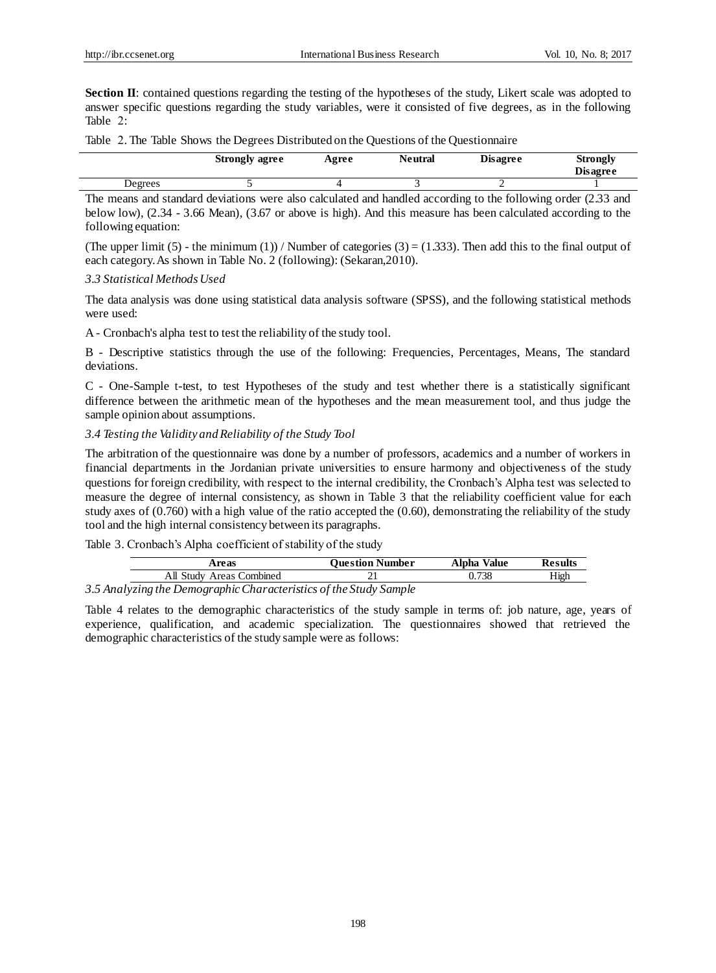**Section II**: contained questions regarding the testing of the hypotheses of the study, Likert scale was adopted to answer specific questions regarding the study variables, were it consisted of five degrees, as in the following Table 2:

Table 2. The Table Shows the Degrees Distributed on the Questions of the Questionnaire

|        |         | <b>Strongly agree</b> | Agree | Neutral | <b>Disagree</b>              | <b>Strongly</b><br><b>Disagree</b> |
|--------|---------|-----------------------|-------|---------|------------------------------|------------------------------------|
|        | Degrees |                       |       |         |                              |                                    |
| $\sim$ |         | .                     |       |         | .<br>$\sim$ $\sim$<br>$\sim$ | .                                  |

The means and standard deviations were also calculated and handled according to the following order (2.33 and below low), (2.34 - 3.66 Mean), (3.67 or above is high). And this measure has been calculated according to the following equation:

(The upper limit (5) - the minimum (1)) / Number of categories (3) = (1.333). Then add this to the final output of each category. As shown in Table No. 2 (following): (Sekaran,2010).

#### *3.3 Statistical Methods Used*

The data analysis was done using statistical data analysis software (SPSS), and the following statistical methods were used:

A - Cronbach's alpha test to test the reliability of the study tool.

B - Descriptive statistics through the use of the following: Frequencies, Percentages, Means, The standard deviations.

C - One-Sample t-test, to test Hypotheses of the study and test whether there is a statistically significant difference between the arithmetic mean of the hypotheses and the mean measurement tool, and thus judge the sample opinion about assumptions.

## *3.4 Testing the Validity and Reliability of the Study Tool*

The arbitration of the questionnaire was done by a number of professors, academics and a number of workers in financial departments in the Jordanian private universities to ensure harmony and objectiveness of the study questions for foreign credibility, with respect to the internal credibility, the Cronbach's Alpha test was selected to measure the degree of internal consistency, as shown in Table 3 that the reliability coefficient value for each study axes of (0.760) with a high value of the ratio accepted the (0.60), demonstrating the reliability of the study tool and the high internal consistency between its paragraphs.

Table 3. Cronbach's Alpha coefficient of stability of the study

|            | Areas                          | Ouestion Number | Alpha<br>Value | Results |  |
|------------|--------------------------------|-----------------|----------------|---------|--|
|            | Combined<br>All Studv<br>Areas |                 | 738            | High    |  |
| $\sqrt{2}$ | $\sim$                         |                 |                |         |  |

## *3.5 Analyzing the Demographic Characteristics of the Study Sample*

Table 4 relates to the demographic characteristics of the study sample in terms of: job nature, age, years of experience, qualification, and academic specialization. The questionnaires showed that retrieved the demographic characteristics of the study sample were as follows: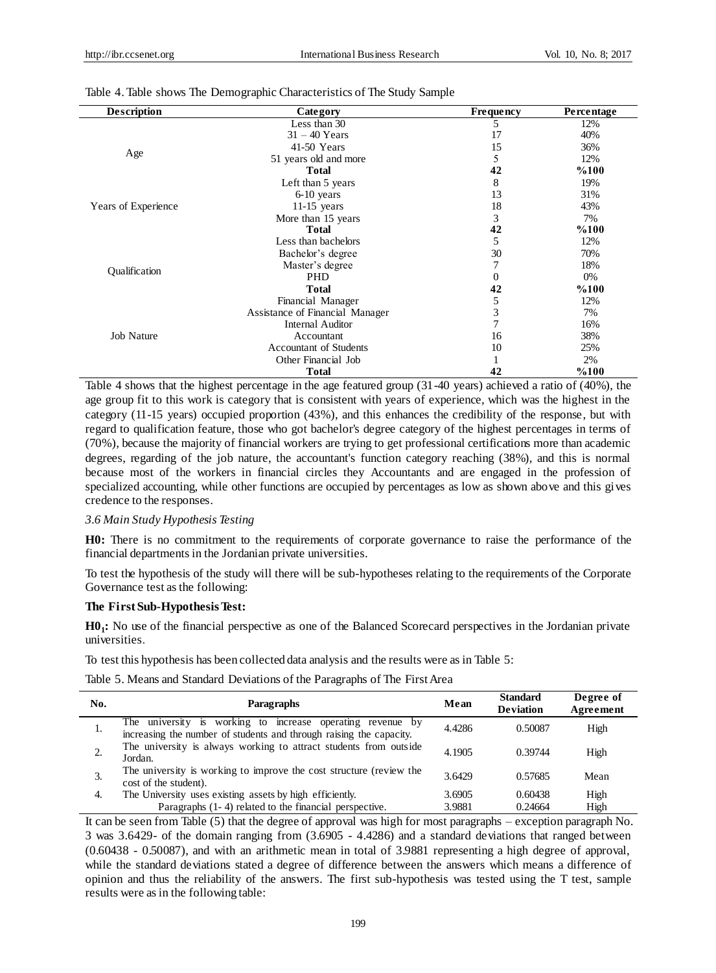| <b>Description</b>  | Category                                                                                                                                                                                                                                                                                                                                                                                                           | <b>Frequency</b> | <b>Percentage</b> |
|---------------------|--------------------------------------------------------------------------------------------------------------------------------------------------------------------------------------------------------------------------------------------------------------------------------------------------------------------------------------------------------------------------------------------------------------------|------------------|-------------------|
|                     | Less than 30                                                                                                                                                                                                                                                                                                                                                                                                       | 5                | 12%               |
|                     | $31 - 40$ Years                                                                                                                                                                                                                                                                                                                                                                                                    | 17               | 40%               |
|                     | 41-50 Years<br>15<br>5<br>51 years old and more<br><b>Total</b><br>42<br>8<br>Left than 5 years<br>13<br>$6-10$ years<br>18<br>$11-15$ years<br>3<br>More than 15 years<br>42<br><b>Total</b><br>Less than bachelors<br>5<br>30<br>Bachelor's degree<br>Master's degree<br><b>PHD</b><br>0<br><b>Total</b><br>42<br>Financial Manager<br>5<br>3<br>Assistance of Financial Manager<br>7<br><b>Internal Auditor</b> | 36%              |                   |
| Age                 |                                                                                                                                                                                                                                                                                                                                                                                                                    |                  | 12%               |
|                     |                                                                                                                                                                                                                                                                                                                                                                                                                    |                  | %100              |
|                     |                                                                                                                                                                                                                                                                                                                                                                                                                    |                  | 19%               |
|                     |                                                                                                                                                                                                                                                                                                                                                                                                                    |                  | 31%               |
| Years of Experience |                                                                                                                                                                                                                                                                                                                                                                                                                    |                  | 43%               |
|                     |                                                                                                                                                                                                                                                                                                                                                                                                                    |                  | 7%                |
|                     |                                                                                                                                                                                                                                                                                                                                                                                                                    |                  | %100              |
|                     |                                                                                                                                                                                                                                                                                                                                                                                                                    |                  | 12%               |
|                     |                                                                                                                                                                                                                                                                                                                                                                                                                    |                  | 70%               |
|                     |                                                                                                                                                                                                                                                                                                                                                                                                                    |                  | 18%               |
| Qualification       |                                                                                                                                                                                                                                                                                                                                                                                                                    |                  | 0%                |
|                     |                                                                                                                                                                                                                                                                                                                                                                                                                    |                  | %100              |
|                     |                                                                                                                                                                                                                                                                                                                                                                                                                    |                  | 12%               |
|                     |                                                                                                                                                                                                                                                                                                                                                                                                                    |                  | 7%                |
|                     |                                                                                                                                                                                                                                                                                                                                                                                                                    |                  | 16%               |
| <b>Job Nature</b>   | Accountant                                                                                                                                                                                                                                                                                                                                                                                                         | 16               | 38%               |
|                     | <b>Accountant of Students</b>                                                                                                                                                                                                                                                                                                                                                                                      | 10               | 25%               |
|                     | Other Financial Job                                                                                                                                                                                                                                                                                                                                                                                                |                  | 2%                |
|                     | <b>Total</b>                                                                                                                                                                                                                                                                                                                                                                                                       | 42               | %100              |

#### Table 4. Table shows The Demographic Characteristics of The Study Sample

Table 4 shows that the highest percentage in the age featured group (31-40 years) achieved a ratio of (40%), the age group fit to this work is category that is consistent with years of experience, which was the highest in the category (11-15 years) occupied proportion (43%), and this enhances the credibility of the response, but with regard to qualification feature, those who got bachelor's degree category of the highest percentages in terms of (70%), because the majority of financial workers are trying to get professional certifications more than academic degrees, regarding of the job nature, the accountant's function category reaching (38%), and this is normal because most of the workers in financial circles they Accountants and are engaged in the profession of specialized accounting, while other functions are occupied by percentages as low as shown above and this gives credence to the responses.

#### *3.6 Main Study Hypothesis Testing*

**H0:** There is no commitment to the requirements of corporate governance to raise the performance of the financial departments in the Jordanian private universities.

To test the hypothesis of the study will there will be sub-hypotheses relating to the requirements of the Corporate Governance test as the following:

#### **The First Sub-Hypothesis Test:**

**H0<sup>1</sup> :** No use of the financial perspective as one of the Balanced Scorecard perspectives in the Jordanian private universities.

To test this hypothesis has been collected data analysis and the results were as in Table 5:

Table 5. Means and Standard Deviations of the Paragraphs of The First Area

| No. | <b>Paragraphs</b>                                                                                                                    | Mean   | <b>Standard</b><br><b>Deviation</b> | Degree of<br>Agreement |
|-----|--------------------------------------------------------------------------------------------------------------------------------------|--------|-------------------------------------|------------------------|
| 1.  | working to increase operating revenue by<br>The university is<br>increasing the number of students and through raising the capacity. | 4.4286 | 0.50087                             | High                   |
| ۷.  | The university is always working to attract students from outside<br>Jordan.                                                         | 4.1905 | 0.39744                             | High                   |
| Í.  | The university is working to improve the cost structure (review the<br>cost of the student).                                         | 3.6429 | 0.57685                             | Mean                   |
| 4.  | The University uses existing assets by high efficiently.                                                                             | 3.6905 | 0.60438                             | High                   |
|     | Paragraphs (1-4) related to the financial perspective.                                                                               | 3.9881 | 0.24664                             | High                   |

It can be seen from Table (5) that the degree of approval was high for most paragraphs – exception paragraph No. 3 was 3.6429- of the domain ranging from (3.6905 - 4.4286) and a standard deviations that ranged between (0.60438 - 0.50087), and with an arithmetic mean in total of 3.9881 representing a high degree of approval, while the standard deviations stated a degree of difference between the answers which means a difference of opinion and thus the reliability of the answers. The first sub-hypothesis was tested using the T test, sample results were as in the following table: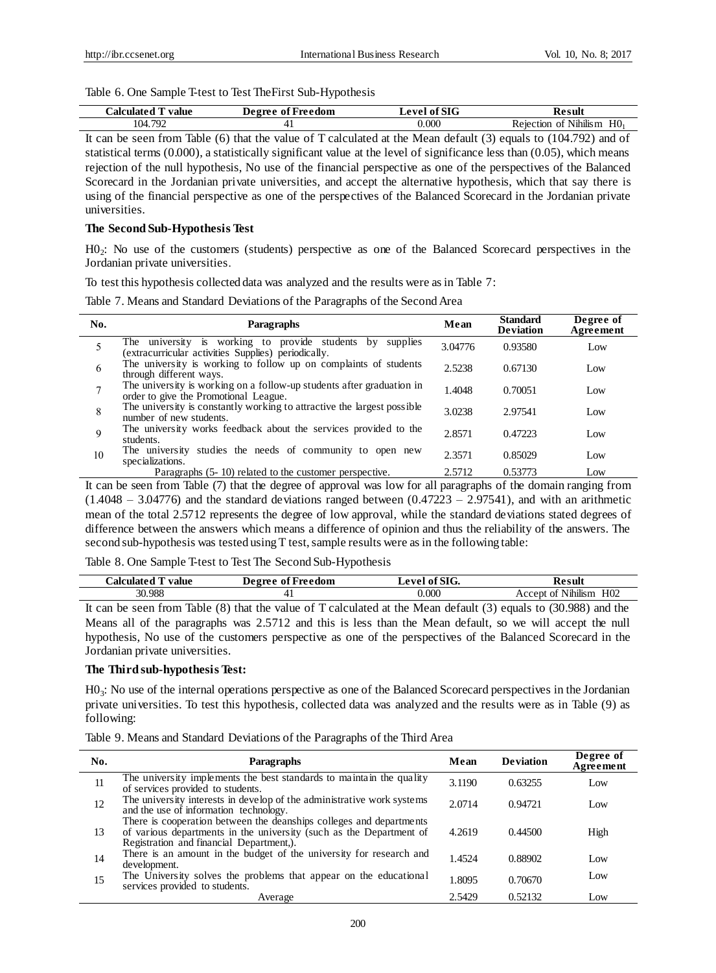#### Table 6. One Sample T-test to Test TheFirst Sub-Hypothesis

| `alculate<br>value | Freedom<br>De ore e<br>0t | $_{\rm fCT}$<br>$\alpha v \alpha$<br>мо | - Kesult                                           |
|--------------------|---------------------------|-----------------------------------------|----------------------------------------------------|
| 104.792            |                           | 0.000                                   | $-$<br>H <sub>0</sub><br>Nihilis m<br>0Ť<br>ection |

It can be seen from Table (6) that the value of T calculated at the Mean default (3) equals to (104.792) and of statistical terms  $(0.000)$ , a statistically significant value at the level of significance less than  $(0.05)$ , which means rejection of the null hypothesis, No use of the financial perspective as one of the perspectives of the Balanced Scorecard in the Jordanian private universities, and accept the alternative hypothesis, which that say there is using of the financial perspective as one of the perspectives of the Balanced Scorecard in the Jordanian private universities.

# **The Second Sub-Hypothesis Test**

H0<sup>2</sup> : No use of the customers (students) perspective as one of the Balanced Scorecard perspectives in the Jordanian private universities.

To test this hypothesis collected data was analyzed and the results were as in Table 7:

Table 7. Means and Standard Deviations of the Paragraphs of the Second Area

| No. | Paragraphs                                                                                                          | Mean    | <b>Standard</b><br><b>Deviation</b> | Degree of<br>Agreement |
|-----|---------------------------------------------------------------------------------------------------------------------|---------|-------------------------------------|------------------------|
|     | The university is working to provide students by<br>supplies<br>(extracurricular activities Supplies) periodically. | 3.04776 | 0.93580                             | Low                    |
| 6   | The university is working to follow up on complaints of students<br>through different ways.                         | 2.5238  | 0.67130                             | Low                    |
|     | The university is working on a follow-up students after graduation in<br>order to give the Promotional League.      | 1.4048  | 0.70051                             | Low                    |
| 8   | The university is constantly working to attractive the largest possible<br>number of new students.                  | 3.0238  | 2.97541                             | Low                    |
| 9   | The university works feedback about the services provided to the<br>students.                                       | 2.8571  | 0.47223                             | Low                    |
| 10  | The university studies the needs of community to open new<br>specializations.                                       | 2.3571  | 0.85029                             | Low                    |
|     | Paragraphs (5-10) related to the customer perspective.                                                              | 2.5712  | 0.53773                             | Low                    |

It can be seen from Table (7) that the degree of approval was low for all paragraphs of the domain ranging from  $(1.4048 - 3.04776)$  and the standard deviations ranged between  $(0.47223 - 2.97541)$ , and with an arithmetic mean of the total 2.5712 represents the degree of low approval, while the standard deviations stated degrees of difference between the answers which means a difference of opinion and thus the reliability of the answers. The second sub-hypothesis was tested using T test, sample results were as in the following table:

Table 8. One Sample T-test to Test The Second Sub-Hypothesis

|        |        | value |       | Degree | of Freedom |  | $\alpha$ val | f SIG.<br>ω1 |        | Kesult                             |                 |
|--------|--------|-------|-------|--------|------------|--|--------------|--------------|--------|------------------------------------|-----------------|
|        | 30.988 |       |       |        |            |  |              | 0.000        | .ccent | <b>A 751 515</b><br>Nihilism<br>ΟĪ | H <sub>02</sub> |
| $\sim$ | $\sim$ |       | _____ |        | $\sim$ $-$ |  | $ -$         | .            |        |                                    |                 |

It can be seen from Table (8) that the value of T calculated at the Mean default (3) equals to (30.988) and the Means all of the paragraphs was 2.5712 and this is less than the Mean default, so we will accept the null hypothesis, No use of the customers perspective as one of the perspectives of the Balanced Scorecard in the Jordanian private universities.

## **The Third sub-hypothesis Test:**

H0<sup>3</sup> : No use of the internal operations perspective as one of the Balanced Scorecard perspectives in the Jordanian private universities. To test this hypothesis, collected data was analyzed and the results were as in Table (9) as following:

Table 9. Means and Standard Deviations of the Paragraphs of the Third Area

| No. | Paragraphs                                                                                                                                                                             | Mean   | <b>Deviation</b> | Degree of<br>Agreement |
|-----|----------------------------------------------------------------------------------------------------------------------------------------------------------------------------------------|--------|------------------|------------------------|
| 11  | The university implements the best standards to maintain the quality<br>of services provided to students.                                                                              | 3.1190 | 0.63255          | Low                    |
| 12  | The university interests in develop of the administrative work systems<br>and the use of information technology.                                                                       | 2.0714 | 0.94721          | Low                    |
| 13  | There is cooperation between the deanships colleges and departments<br>of various departments in the university (such as the Department of<br>Registration and financial Department,). | 4.2619 | 0.44500          | High                   |
| 14  | There is an amount in the budget of the university for research and<br>development.                                                                                                    | 1.4524 | 0.88902          | Low                    |
| 15  | The University solves the problems that appear on the educational<br>services provided to students.                                                                                    | 1.8095 | 0.70670          | Low                    |
|     | Average                                                                                                                                                                                | 2.5429 | 0.52132          | Low                    |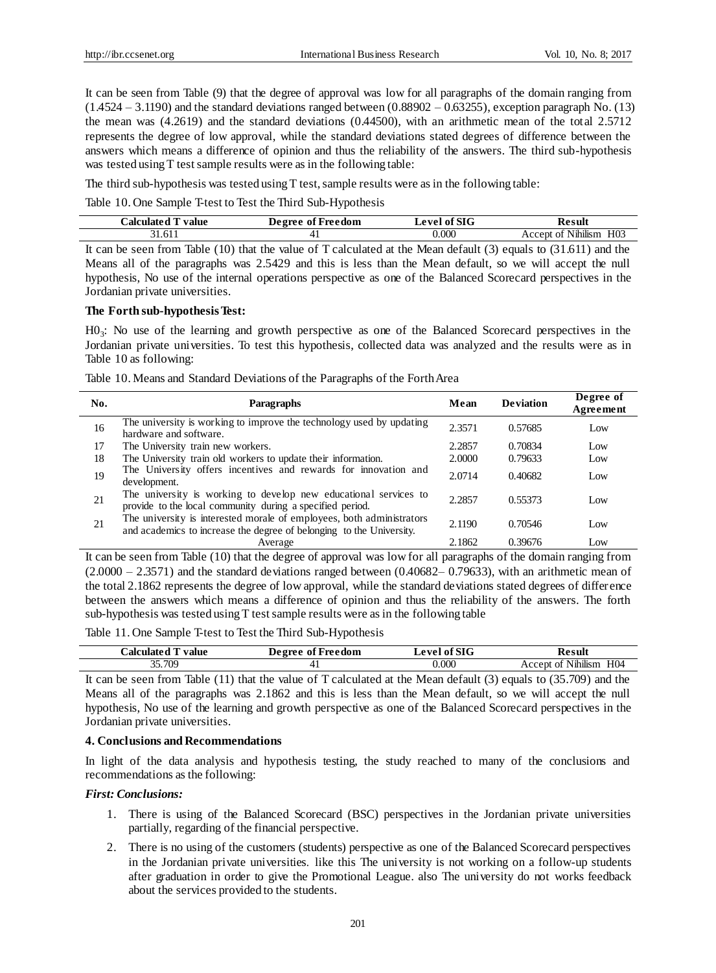It can be seen from Table (9) that the degree of approval was low for all paragraphs of the domain ranging from  $(1.4524 - 3.1190)$  and the standard deviations ranged between  $(0.88902 - 0.63255)$ , exception paragraph No. (13) the mean was (4.2619) and the standard deviations (0.44500), with an arithmetic mean of the total 2.5712 represents the degree of low approval, while the standard deviations stated degrees of difference between the answers which means a difference of opinion and thus the reliability of the answers. The third sub-hypothesis was tested using T test sample results were as in the following table:

The third sub-hypothesis was tested using T test, sample results were as in the following table:

Table 10. One Sample T-test to Test the Third Sub-Hypothesis

| <b>Calculot</b><br>value | Freedom<br>Jegree<br>-of | $\mathbf{r}$ CTM<br>$\alpha$ val<br>м | 'esuh<br>м                                                    |
|--------------------------|--------------------------|---------------------------------------|---------------------------------------------------------------|
| 1.611                    |                          | 0.000                                 | H <sub>03</sub><br>$-$<br>$\cdots$<br>Nihilism<br>0Ť<br>ecent |

It can be seen from Table (10) that the value of T calculated at the Mean default (3) equals to (31.611) and the Means all of the paragraphs was 2.5429 and this is less than the Mean default, so we will accept the null hypothesis, No use of the internal operations perspective as one of the Balanced Scorecard perspectives in the Jordanian private universities.

#### **The Forth sub-hypothesis Test:**

H0<sup>3</sup> : No use of the learning and growth perspective as one of the Balanced Scorecard perspectives in the Jordanian private universities. To test this hypothesis, collected data was analyzed and the results were as in Table 10 as following:

| No. | <b>Paragraphs</b>                                                                                                             | Mean   | <b>Deviation</b> | Degree of<br>Agreement |
|-----|-------------------------------------------------------------------------------------------------------------------------------|--------|------------------|------------------------|
| 16  | The university is working to improve the technology used by updating<br>hardware and software.                                | 2.3571 | 0.57685          | Low                    |
| 17  | The University train new workers.                                                                                             | 2.2857 | 0.70834          | Low                    |
| 18  | The University train old workers to update their information.                                                                 | 2.0000 | 0.79633          | Low                    |
| 19  | The University offers incentives and rewards for innovation and<br>development.                                               | 2.0714 | 0.40682          | Low                    |
| 21  | The university is working to develop new educational services to<br>provide to the local community during a specified period. | 2.2857 | 0.55373          | Low                    |
| 21  | The university is interested morale of employees, both administrators                                                         | 2.1190 | 0.70546          | Low                    |
|     | and academics to increase the degree of belonging to the University.                                                          |        |                  |                        |
|     | Average                                                                                                                       | 2.1862 | 0.39676          | Low                    |

It can be seen from Table (10) that the degree of approval was low for all paragraphs of the domain ranging from  $(2.0000 - 2.3571)$  and the standard deviations ranged between  $(0.40682 - 0.79633)$ , with an arithmetic mean of the total 2.1862 represents the degree of low approval, while the standard deviations stated degrees of difference between the answers which means a difference of opinion and thus the reliability of the answers. The forth sub-hypothesis was tested using T test sample results were as in the following table

Table 11. One Sample T-test to Test the Third Sub-Hypothesis

| dalculated "<br>value | Degree of Freedom | of SIG<br>evel | Result                                        |
|-----------------------|-------------------|----------------|-----------------------------------------------|
| 35.709                |                   | 0.000          | .<br>H <sub>04</sub><br>of Nihilism<br>Accept |

It can be seen from Table (11) that the value of T calculated at the Mean default (3) equals to (35.709) and the Means all of the paragraphs was 2.1862 and this is less than the Mean default, so we will accept the null hypothesis, No use of the learning and growth perspective as one of the Balanced Scorecard perspectives in the Jordanian private universities.

#### **4. Conclusions and Recommendations**

In light of the data analysis and hypothesis testing, the study reached to many of the conclusions and recommendations as the following:

# *First: Conclusions:*

- 1. There is using of the Balanced Scorecard (BSC) perspectives in the Jordanian private universities partially, regarding of the financial perspective.
- 2. There is no using of the customers (students) perspective as one of the Balanced Scorecard perspectives in the Jordanian private universities. like this The university is not working on a follow-up students after graduation in order to give the Promotional League. also The university do not works feedback about the services provided to the students.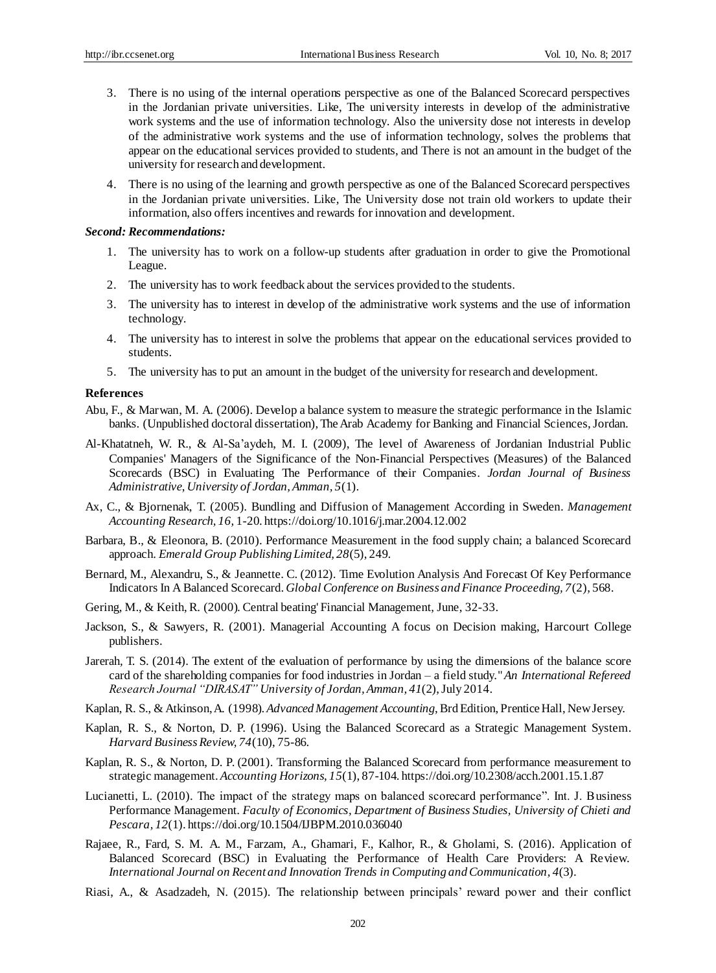- 3. There is no using of the internal operations perspective as one of the Balanced Scorecard perspectives in the Jordanian private universities. Like, The university interests in develop of the administrative work systems and the use of information technology. Also the university dose not interests in develop of the administrative work systems and the use of information technology, solves the problems that appear on the educational services provided to students, and There is not an amount in the budget of the university for research and development.
- 4. There is no using of the learning and growth perspective as one of the Balanced Scorecard perspectives in the Jordanian private universities. Like, The University dose not train old workers to update their information, also offers incentives and rewards for innovation and development.

#### *Second: Recommendations:*

- 1. The university has to work on a follow-up students after graduation in order to give the Promotional League.
- 2. The university has to work feedback about the services provided to the students.
- 3. The university has to interest in develop of the administrative work systems and the use of information technology.
- 4. The university has to interest in solve the problems that appear on the educational services provided to students.
- 5. The university has to put an amount in the budget of the university for research and development.

#### **References**

- Abu, F., & Marwan, M. A. (2006). Develop a balance system to measure the strategic performance in the Islamic banks. (Unpublished doctoral dissertation), The Arab Academy for Banking and Financial Sciences, Jordan.
- Al-Khatatneh, W. R., & Al-Sa'aydeh, M. I. (2009), The level of Awareness of Jordanian Industrial Public Companies' Managers of the Significance of the Non-Financial Perspectives (Measures) of the Balanced Scorecards (BSC) in Evaluating The Performance of their Companies*. Jordan Journal of Business Administrative*, *University of Jordan, Amman, 5*(1).
- Ax, C., & Bjornenak, T. (2005)*.* Bundling and Diffusion of Management According in Sweden. *Management Accounting Research, 16,* 1-20. https://doi.org/10.1016/j.mar.2004.12.002
- Barbara, B., & Eleonora, B. (2010). Performance Measurement in the food supply chain; a balanced Scorecard approach. *Emerald Group Publishing Limited, 28*(5), 249.
- Bernard, M., Alexandru, S., & Jeannette. C. (2012). Time Evolution Analysis And Forecast Of Key Performance Indicators In A Balanced Scorecard. *Global Conference on Business and Finance Proceeding, 7*(2), 568.
- Gering, M., & Keith,R. (2000)*.* Central beating' Financial Management, June, 32-33.
- Jackson, S., & Sawyers, R. (2001). Managerial Accounting A focus on Decision making, Harcourt College publishers.
- Jarerah*,* T. S. (2014). The extent of the evaluation of performance by using the dimensions of the balance score card of the shareholding companies for food industries in Jordan – a field study."*An International Refereed Research Journal "DIRASAT" University of Jordan, Amman, 41*(2), July 2014.
- Kaplan, R. S., & Atkinson, A. (1998). *Advanced Management Accounting*, Brd Edition, Prentice Hall, New Jersey.
- Kaplan, R. S., & Norton, D. P. (1996). Using the Balanced Scorecard as a Strategic Management System. *Harvard Business Review, 74*(10), 75-86.
- Kaplan, R. S., & Norton, D. P. (2001). Transforming the Balanced Scorecard from performance measurement to strategic management. *Accounting Horizons, 15*(1), 87-104. https://doi.org/10.2308/acch.2001.15.1.87
- Lucianetti, L. (2010). The impact of the strategy maps on balanced scorecard performance". Int. J. Business Performance Management. *Faculty of Economics, Department of Business Studies, University of Chieti and Pescara, 12*(1). https://doi.org/10.1504/IJBPM.2010.036040
- Rajaee, R., Fard, S. M. A. M., Farzam, A., Ghamari, F., Kalhor, R., & Gholami, S. (2016). Application of Balanced Scorecard (BSC) in Evaluating the Performance of Health Care Providers: A Review. *International Journal on Recent and Innovation Trends in Computing and Communication, 4*(3).
- Riasi, A., & Asadzadeh, N. (2015). The relationship between principals' reward power and their conflict